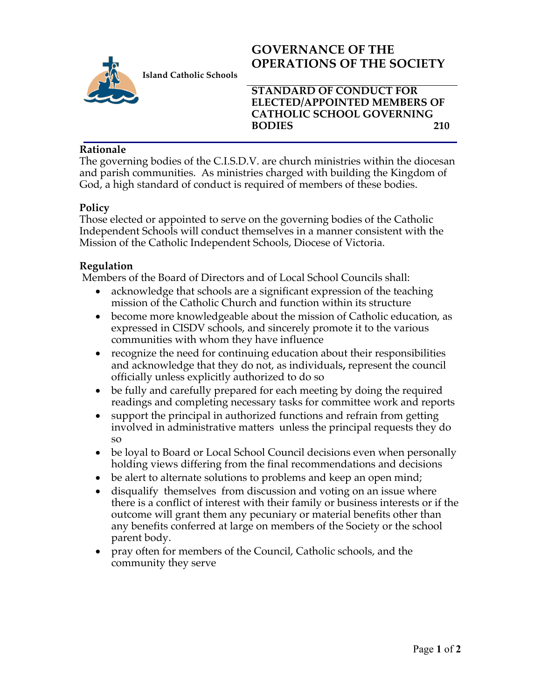

**Island Catholic Schools** 

# **GOVERNANCE OF THE OPERATIONS OF THE SOCIETY**

**STANDARD OF CONDUCT FOR ELECTED/APPOINTED MEMBERS OF CATHOLIC SCHOOL GOVERNING BODIES 210**

#### **Rationale**

The governing bodies of the C.I.S.D.V. are church ministries within the diocesan and parish communities. As ministries charged with building the Kingdom of God, a high standard of conduct is required of members of these bodies.

### **Policy**

Those elected or appointed to serve on the governing bodies of the Catholic Independent Schools will conduct themselves in a manner consistent with the Mission of the Catholic Independent Schools, Diocese of Victoria.

### **Regulation**

Members of the Board of Directors and of Local School Councils shall:

- acknowledge that schools are a significant expression of the teaching mission of the Catholic Church and function within its structure
- become more knowledgeable about the mission of Catholic education, as expressed in CISDV schools, and sincerely promote it to the various communities with whom they have influence
- recognize the need for continuing education about their responsibilities and acknowledge that they do not, as individuals**,** represent the council officially unless explicitly authorized to do so
- be fully and carefully prepared for each meeting by doing the required readings and completing necessary tasks for committee work and reports
- support the principal in authorized functions and refrain from getting involved in administrative matters unless the principal requests they do so
- be loyal to Board or Local School Council decisions even when personally holding views differing from the final recommendations and decisions
- be alert to alternate solutions to problems and keep an open mind;
- disqualify themselves from discussion and voting on an issue where there is a conflict of interest with their family or business interests or if the outcome will grant them any pecuniary or material benefits other than any benefits conferred at large on members of the Society or the school parent body.
- pray often for members of the Council, Catholic schools, and the community they serve